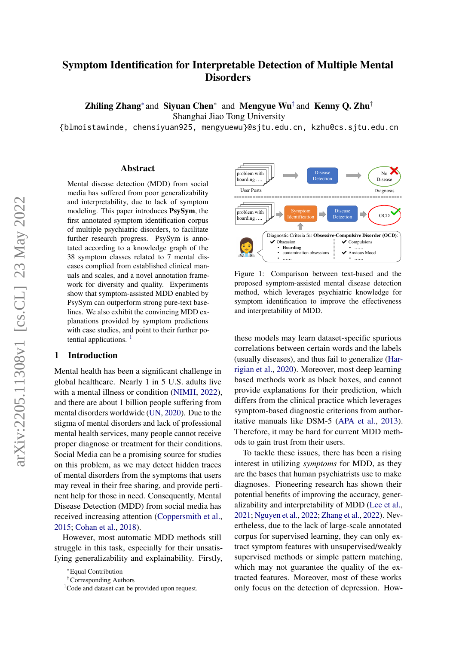# Symptom Identification for Interpretable Detection of Multiple Mental **Disorders**

Zhiling Zhang<sup>∗</sup> and Siyuan Chen<sup>∗</sup> and Mengyue Wu<sup>†</sup> and Kenny Q. Zhu<sup>†</sup>

Shanghai Jiao Tong University

{blmoistawinde, chensiyuan925, mengyuewu}@sjtu.edu.cn, kzhu@cs.sjtu.edu.cn

## Abstract

Mental disease detection (MDD) from social media has suffered from poor generalizability and interpretability, due to lack of symptom modeling. This paper introduces PsySym, the first annotated symptom identification corpus of multiple psychiatric disorders, to facilitate further research progress. PsySym is annotated according to a knowledge graph of the 38 symptom classes related to 7 mental diseases complied from established clinical manuals and scales, and a novel annotation framework for diversity and quality. Experiments show that symptom-assisted MDD enabled by PsySym can outperform strong pure-text baselines. We also exhibit the convincing MDD explanations provided by symptom predictions with case studies, and point to their further potential applications.  $<sup>1</sup>$  $<sup>1</sup>$  $<sup>1</sup>$ </sup>

## 1 Introduction

Mental health has been a significant challenge in global healthcare. Nearly 1 in 5 U.S. adults live with a mental illness or condition [\(NIMH,](#page-9-0) [2022\)](#page-9-0), and there are about 1 billion people suffering from mental disorders worldwide [\(UN,](#page-10-0) [2020\)](#page-10-0). Due to the stigma of mental disorders and lack of professional mental health services, many people cannot receive proper diagnose or treatment for their conditions. Social Media can be a promising source for studies on this problem, as we may detect hidden traces of mental disorders from the symptoms that users may reveal in their free sharing, and provide pertinent help for those in need. Consequently, Mental Disease Detection (MDD) from social media has received increasing attention [\(Coppersmith et al.,](#page-8-0) [2015;](#page-8-0) [Cohan et al.,](#page-8-1) [2018\)](#page-8-1).

However, most automatic MDD methods still struggle in this task, especially for their unsatisfying generalizability and explainability. Firstly,

<span id="page-0-1"></span>

Figure 1: Comparison between text-based and the proposed symptom-assisted mental disease detection method, which leverages psychiatric knowledge for symptom identification to improve the effectiveness and interpretability of MDD.

these models may learn dataset-specific spurious correlations between certain words and the labels (usually diseases), and thus fail to generalize [\(Har](#page-9-1)[rigian et al.,](#page-9-1) [2020\)](#page-9-1). Moreover, most deep learning based methods work as black boxes, and cannot provide explanations for their prediction, which differs from the clinical practice which leverages symptom-based diagnostic criterions from authoritative manuals like DSM-5 [\(APA et al.,](#page-8-2) [2013\)](#page-8-2). Therefore, it may be hard for current MDD methods to gain trust from their users.

To tackle these issues, there has been a rising interest in utilizing *symptoms* for MDD, as they are the bases that human psychiatrists use to make diagnoses. Pioneering research has shown their potential benefits of improving the accuracy, generalizability and interpretability of MDD [\(Lee et al.,](#page-9-2) [2021;](#page-9-2) [Nguyen et al.,](#page-9-3) [2022;](#page-9-3) [Zhang et al.,](#page-10-1) [2022\)](#page-10-1). Nevertheless, due to the lack of large-scale annotated corpus for supervised learning, they can only extract symptom features with unsupervised/weakly supervised methods or simple pattern matching, which may not guarantee the quality of the extracted features. Moreover, most of these works only focus on the detection of depression. How-

<sup>∗</sup>Equal Contribution

<sup>†</sup>Corresponding Authors

<span id="page-0-0"></span><sup>&</sup>lt;sup>1</sup>Code and dataset can be provided upon request.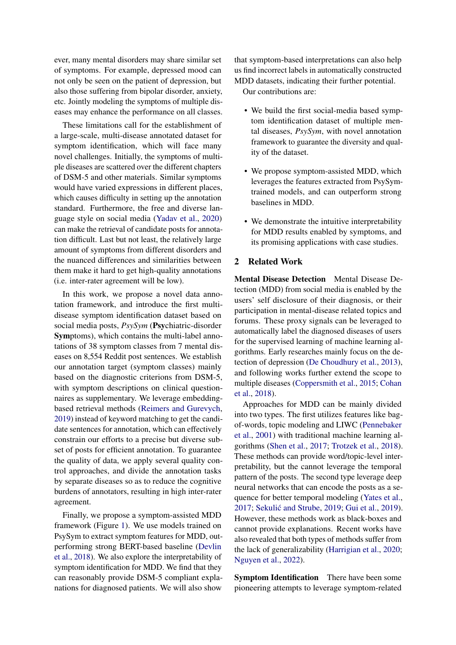ever, many mental disorders may share similar set of symptoms. For example, depressed mood can not only be seen on the patient of depression, but also those suffering from bipolar disorder, anxiety, etc. Jointly modeling the symptoms of multiple diseases may enhance the performance on all classes.

These limitations call for the establishment of a large-scale, multi-disease annotated dataset for symptom identification, which will face many novel challenges. Initially, the symptoms of multiple diseases are scattered over the different chapters of DSM-5 and other materials. Similar symptoms would have varied expressions in different places, which causes difficulty in setting up the annotation standard. Furthermore, the free and diverse language style on social media [\(Yadav et al.,](#page-10-2) [2020\)](#page-10-2) can make the retrieval of candidate posts for annotation difficult. Last but not least, the relatively large amount of symptoms from different disorders and the nuanced differences and similarities between them make it hard to get high-quality annotations (i.e. inter-rater agreement will be low).

In this work, we propose a novel data annotation framework, and introduce the first multidisease symptom identification dataset based on social media posts, *PsySym* (Psychiatric-disorder Symptoms), which contains the multi-label annotations of 38 symptom classes from 7 mental diseases on 8,554 Reddit post sentences. We establish our annotation target (symptom classes) mainly based on the diagnostic criterions from DSM-5, with symptom descriptions on clinical questionnaires as supplementary. We leverage embeddingbased retrieval methods [\(Reimers and Gurevych,](#page-9-4) [2019\)](#page-9-4) instead of keyword matching to get the candidate sentences for annotation, which can effectively constrain our efforts to a precise but diverse subset of posts for efficient annotation. To guarantee the quality of data, we apply several quality control approaches, and divide the annotation tasks by separate diseases so as to reduce the cognitive burdens of annotators, resulting in high inter-rater agreement.

Finally, we propose a symptom-assisted MDD framework (Figure [1\)](#page-0-1). We use models trained on PsySym to extract symptom features for MDD, outperforming strong BERT-based baseline [\(Devlin](#page-9-5) [et al.,](#page-9-5) [2018\)](#page-9-5). We also explore the interpretability of symptom identification for MDD. We find that they can reasonably provide DSM-5 compliant explanations for diagnosed patients. We will also show

that symptom-based interpretations can also help us find incorrect labels in automatically constructed MDD datasets, indicating their further potential.

Our contributions are:

- We build the first social-media based symptom identification dataset of multiple mental diseases, *PsySym*, with novel annotation framework to guarantee the diversity and quality of the dataset.
- We propose symptom-assisted MDD, which leverages the features extracted from PsySymtrained models, and can outperform strong baselines in MDD.
- We demonstrate the intuitive interpretability for MDD results enabled by symptoms, and its promising applications with case studies.

## 2 Related Work

Mental Disease Detection Mental Disease Detection (MDD) from social media is enabled by the users' self disclosure of their diagnosis, or their participation in mental-disease related topics and forums. These proxy signals can be leveraged to automatically label the diagnosed diseases of users for the supervised learning of machine learning algorithms. Early researches mainly focus on the detection of depression [\(De Choudhury et al.,](#page-8-3) [2013\)](#page-8-3), and following works further extend the scope to multiple diseases [\(Coppersmith et al.,](#page-8-0) [2015;](#page-8-0) [Cohan](#page-8-1) [et al.,](#page-8-1) [2018\)](#page-8-1).

Approaches for MDD can be mainly divided into two types. The first utilizes features like bagof-words, topic modeling and LIWC [\(Pennebaker](#page-9-6) [et al.,](#page-9-6) [2001\)](#page-9-6) with traditional machine learning algorithms [\(Shen et al.,](#page-9-7) [2017;](#page-9-7) [Trotzek et al.,](#page-10-3) [2018\)](#page-10-3). These methods can provide word/topic-level interpretability, but the cannot leverage the temporal pattern of the posts. The second type leverage deep neural networks that can encode the posts as a sequence for better temporal modeling [\(Yates et al.,](#page-10-4) [2017;](#page-10-4) Sekulić and Strube, [2019;](#page-9-8) [Gui et al.,](#page-9-9) [2019\)](#page-9-9). However, these methods work as black-boxes and cannot provide explanations. Recent works have also revealed that both types of methods suffer from the lack of generalizability [\(Harrigian et al.,](#page-9-1) [2020;](#page-9-1) [Nguyen et al.,](#page-9-3) [2022\)](#page-9-3).

Symptom Identification There have been some pioneering attempts to leverage symptom-related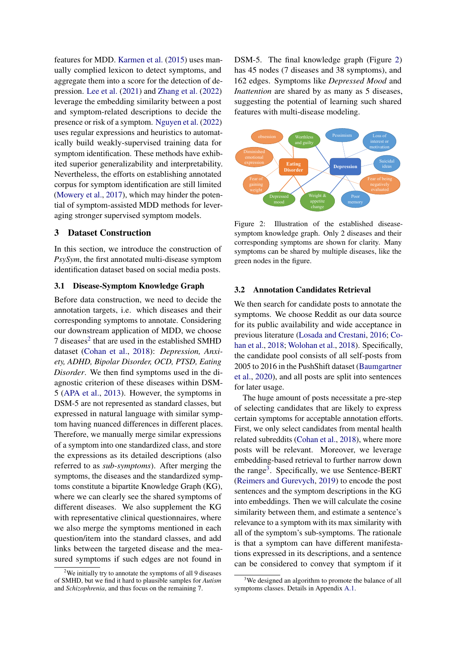features for MDD. [Karmen et al.](#page-9-10) [\(2015\)](#page-9-10) uses manually complied lexicon to detect symptoms, and aggregate them into a score for the detection of depression. [Lee et al.](#page-9-2) [\(2021\)](#page-9-2) and [Zhang et al.](#page-10-1) [\(2022\)](#page-10-1) leverage the embedding similarity between a post and symptom-related descriptions to decide the presence or risk of a symptom. [Nguyen et al.](#page-9-3) [\(2022\)](#page-9-3) uses regular expressions and heuristics to automatically build weakly-supervised training data for symptom identification. These methods have exhibited superior generalizability and interpretability. Nevertheless, the efforts on establishing annotated corpus for symptom identification are still limited [\(Mowery et al.,](#page-9-11) [2017\)](#page-9-11), which may hinder the potential of symptom-assisted MDD methods for leveraging stronger supervised symptom models.

## 3 Dataset Construction

In this section, we introduce the construction of *PsySym*, the first annotated multi-disease symptom identification dataset based on social media posts.

## 3.1 Disease-Symptom Knowledge Graph

Before data construction, we need to decide the annotation targets, i.e. which diseases and their corresponding symptoms to annotate. Considering our downstream application of MDD, we choose 7 diseases<sup>[2](#page-2-0)</sup> that are used in the established SMHD dataset [\(Cohan et al.,](#page-8-1) [2018\)](#page-8-1): *Depression, Anxiety, ADHD, Bipolar Disorder, OCD, PTSD, Eating Disorder*. We then find symptoms used in the diagnostic criterion of these diseases within DSM-5 [\(APA et al.,](#page-8-2) [2013\)](#page-8-2). However, the symptoms in DSM-5 are not represented as standard classes, but expressed in natural language with similar symptom having nuanced differences in different places. Therefore, we manually merge similar expressions of a symptom into one standardized class, and store the expressions as its detailed descriptions (also referred to as *sub-symptoms*). After merging the symptoms, the diseases and the standardized symptoms constitute a bipartite Knowledge Graph (KG), where we can clearly see the shared symptoms of different diseases. We also supplement the KG with representative clinical questionnaires, where we also merge the symptoms mentioned in each question/item into the standard classes, and add links between the targeted disease and the measured symptoms if such edges are not found in

DSM-5. The final knowledge graph (Figure [2\)](#page-2-1) has 45 nodes (7 diseases and 38 symptoms), and 162 edges. Symptoms like *Depressed Mood* and *Inattention* are shared by as many as 5 diseases, suggesting the potential of learning such shared features with multi-disease modeling.

<span id="page-2-1"></span>

Figure 2: Illustration of the established diseasesymptom knowledge graph. Only 2 diseases and their corresponding symptoms are shown for clarity. Many symptoms can be shared by multiple diseases, like the green nodes in the figure.

### <span id="page-2-3"></span>3.2 Annotation Candidates Retrieval

We then search for candidate posts to annotate the symptoms. We choose Reddit as our data source for its public availability and wide acceptance in previous literature [\(Losada and Crestani,](#page-9-12) [2016;](#page-9-12) [Co](#page-8-1)[han et al.,](#page-8-1) [2018;](#page-8-1) [Wolohan et al.,](#page-10-5) [2018\)](#page-10-5). Specifically, the candidate pool consists of all self-posts from 2005 to 2016 in the PushShift dataset [\(Baumgartner](#page-8-4) [et al.,](#page-8-4) [2020\)](#page-8-4), and all posts are split into sentences for later usage.

The huge amount of posts necessitate a pre-step of selecting candidates that are likely to express certain symptoms for acceptable annotation efforts. First, we only select candidates from mental health related subreddits [\(Cohan et al.,](#page-8-1) [2018\)](#page-8-1), where more posts will be relevant. Moreover, we leverage embedding-based retrieval to further narrow down the range<sup>[3](#page-2-2)</sup>. Specifically, we use Sentence-BERT [\(Reimers and Gurevych,](#page-9-4) [2019\)](#page-9-4) to encode the post sentences and the symptom descriptions in the KG into embeddings. Then we will calculate the cosine similarity between them, and estimate a sentence's relevance to a symptom with its max similarity with all of the symptom's sub-symptoms. The rationale is that a symptom can have different manifestations expressed in its descriptions, and a sentence can be considered to convey that symptom if it

<span id="page-2-0"></span> $2$ We initially try to annotate the symptoms of all 9 diseases of SMHD, but we find it hard to plausible samples for *Autism* and *Schizophrenia*, and thus focus on the remaining 7.

<span id="page-2-2"></span><sup>&</sup>lt;sup>3</sup>We designed an algorithm to promote the balance of all symptoms classes. Details in Appendix [A.1.](#page-10-6)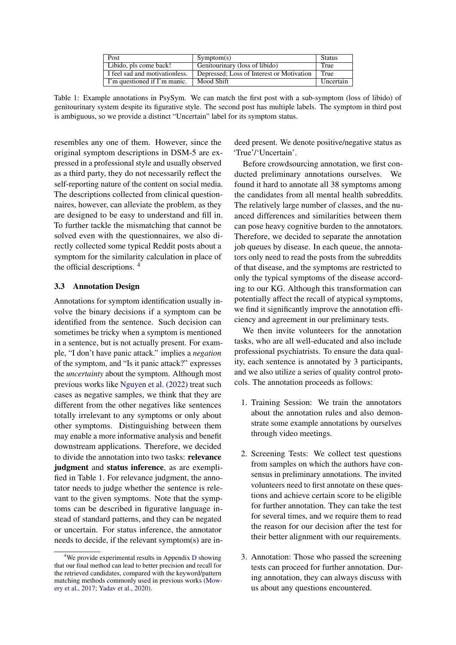| Post                           | Symptom(s)                                | <b>Status</b> |
|--------------------------------|-------------------------------------------|---------------|
| Libido, pls come back!         | Genitourinary (loss of libido)            | True          |
| I feel sad and motivationless. | Depressed; Loss of Interest or Motivation | True          |
| I'm questioned if I'm manic.   | Mood Shift                                | Uncertain     |

<span id="page-3-1"></span>Table 1: Example annotations in PsySym. We can match the first post with a sub-symptom (loss of libido) of genitourinary system despite its figurative style. The second post has multiple labels. The symptom in third post is ambiguous, so we provide a distinct "Uncertain" label for its symptom status.

resembles any one of them. However, since the original symptom descriptions in DSM-5 are expressed in a professional style and usually observed as a third party, they do not necessarily reflect the self-reporting nature of the content on social media. The descriptions collected from clinical questionnaires, however, can alleviate the problem, as they are designed to be easy to understand and fill in. To further tackle the mismatching that cannot be solved even with the questionnaires, we also directly collected some typical Reddit posts about a symptom for the similarity calculation in place of the official descriptions. [4](#page-3-0)

## <span id="page-3-2"></span>3.3 Annotation Design

Annotations for symptom identification usually involve the binary decisions if a symptom can be identified from the sentence. Such decision can sometimes be tricky when a symptom is mentioned in a sentence, but is not actually present. For example, "I don't have panic attack." implies a *negation* of the symptom, and "Is it panic attack?" expresses the *uncertainty* about the symptom. Although most previous works like [Nguyen et al.](#page-9-3) [\(2022\)](#page-9-3) treat such cases as negative samples, we think that they are different from the other negatives like sentences totally irrelevant to any symptoms or only about other symptoms. Distinguishing between them may enable a more informative analysis and benefit downstream applications. Therefore, we decided to divide the annotation into two tasks: relevance judgment and status inference, as are exemplified in Table [1.](#page-3-1) For relevance judgment, the annotator needs to judge whether the sentence is relevant to the given symptoms. Note that the symptoms can be described in figurative language instead of standard patterns, and they can be negated or uncertain. For status inference, the annotator needs to decide, if the relevant symptom(s) are indeed present. We denote positive/negative status as 'True'/'Uncertain'.

Before crowdsourcing annotation, we first conducted preliminary annotations ourselves. We found it hard to annotate all 38 symptoms among the candidates from all mental health subreddits. The relatively large number of classes, and the nuanced differences and similarities between them can pose heavy cognitive burden to the annotators. Therefore, we decided to separate the annotation job queues by disease. In each queue, the annotators only need to read the posts from the subreddits of that disease, and the symptoms are restricted to only the typical symptoms of the disease according to our KG. Although this transformation can potentially affect the recall of atypical symptoms, we find it significantly improve the annotation efficiency and agreement in our preliminary tests.

We then invite volunteers for the annotation tasks, who are all well-educated and also include professional psychiatrists. To ensure the data quality, each sentence is annotated by 3 participants, and we also utilize a series of quality control protocols. The annotation proceeds as follows:

- 1. Training Session: We train the annotators about the annotation rules and also demonstrate some example annotations by ourselves through video meetings.
- 2. Screening Tests: We collect test questions from samples on which the authors have consensus in preliminary annotations. The invited volunteers need to first annotate on these questions and achieve certain score to be eligible for further annotation. They can take the test for several times, and we require them to read the reason for our decision after the test for their better alignment with our requirements.
- 3. Annotation: Those who passed the screening tests can proceed for further annotation. During annotation, they can always discuss with us about any questions encountered.

<span id="page-3-0"></span> $4$ We provide experimental results in Appendix [D](#page-13-0) showing that our final method can lead to better precision and recall for the retrieved candidates, compared with the keyword/pattern matching methods commonly used in previous works [\(Mow](#page-9-11)[ery et al.,](#page-9-11) [2017;](#page-9-11) [Yadav et al.,](#page-10-2) [2020\)](#page-10-2).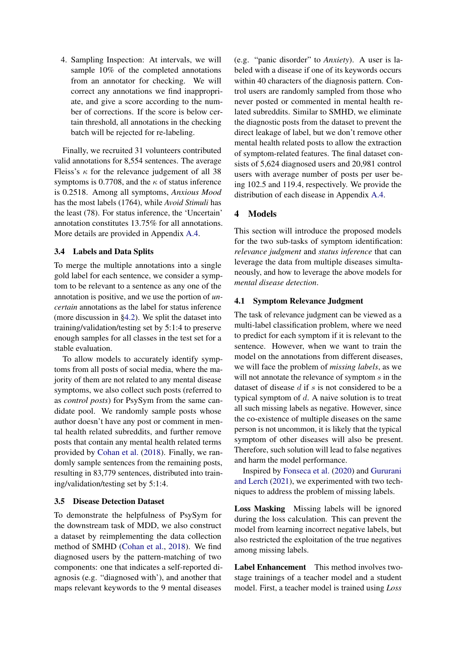4. Sampling Inspection: At intervals, we will sample 10% of the completed annotations from an annotator for checking. We will correct any annotations we find inappropriate, and give a score according to the number of corrections. If the score is below certain threshold, all annotations in the checking batch will be rejected for re-labeling.

Finally, we recruited 31 volunteers contributed valid annotations for 8,554 sentences. The average Fleiss's  $\kappa$  for the relevance judgement of all 38 symptoms is 0.7708, and the  $\kappa$  of status inference is 0.2518. Among all symptoms, *Anxious Mood* has the most labels (1764), while *Avoid Stimuli* has the least (78). For status inference, the 'Uncertain' annotation constitutes 13.75% for all annotations. More details are provided in Appendix [A.4.](#page-12-0)

## 3.4 Labels and Data Splits

To merge the multiple annotations into a single gold label for each sentence, we consider a symptom to be relevant to a sentence as any one of the annotation is positive, and we use the portion of *uncertain* annotations as the label for status inference (more discussion in [§4.2\)](#page-5-0). We split the dataset into training/validation/testing set by 5:1:4 to preserve enough samples for all classes in the test set for a stable evaluation.

To allow models to accurately identify symptoms from all posts of social media, where the majority of them are not related to any mental disease symptoms, we also collect such posts (referred to as *control posts*) for PsySym from the same candidate pool. We randomly sample posts whose author doesn't have any post or comment in mental health related subreddits, and further remove posts that contain any mental health related terms provided by [Cohan et al.](#page-8-1) [\(2018\)](#page-8-1). Finally, we randomly sample sentences from the remaining posts, resulting in 83,779 sentences, distributed into training/validation/testing set by 5:1:4.

## <span id="page-4-1"></span>3.5 Disease Detection Dataset

To demonstrate the helpfulness of PsySym for the downstream task of MDD, we also construct a dataset by reimplementing the data collection method of SMHD [\(Cohan et al.,](#page-8-1) [2018\)](#page-8-1). We find diagnosed users by the pattern-matching of two components: one that indicates a self-reported diagnosis (e.g. "diagnosed with'), and another that maps relevant keywords to the 9 mental diseases

(e.g. "panic disorder" to *Anxiety*). A user is labeled with a disease if one of its keywords occurs within 40 characters of the diagnosis pattern. Control users are randomly sampled from those who never posted or commented in mental health related subreddits. Similar to SMHD, we eliminate the diagnostic posts from the dataset to prevent the direct leakage of label, but we don't remove other mental health related posts to allow the extraction of symptom-related features. The final dataset consists of 5,624 diagnosed users and 20,981 control users with average number of posts per user being 102.5 and 119.4, respectively. We provide the distribution of each disease in Appendix [A.4.](#page-12-0)

## 4 Models

This section will introduce the proposed models for the two sub-tasks of symptom identification: *relevance judgment* and *status inference* that can leverage the data from multiple diseases simultaneously, and how to leverage the above models for *mental disease detection*.

## <span id="page-4-0"></span>4.1 Symptom Relevance Judgment

The task of relevance judgment can be viewed as a multi-label classification problem, where we need to predict for each symptom if it is relevant to the sentence. However, when we want to train the model on the annotations from different diseases, we will face the problem of *missing labels*, as we will not annotate the relevance of symptom s in the dataset of disease  $d$  if  $s$  is not considered to be a typical symptom of  $d$ . A naive solution is to treat all such missing labels as negative. However, since the co-existence of multiple diseases on the same person is not uncommon, it is likely that the typical symptom of other diseases will also be present. Therefore, such solution will lead to false negatives and harm the model performance.

Inspired by [Fonseca et al.](#page-9-13) [\(2020\)](#page-9-13) and [Gururani](#page-9-14) [and Lerch](#page-9-14) [\(2021\)](#page-9-14), we experimented with two techniques to address the problem of missing labels.

Loss Masking Missing labels will be ignored during the loss calculation. This can prevent the model from learning incorrect negative labels, but also restricted the exploitation of the true negatives among missing labels.

Label Enhancement This method involves twostage trainings of a teacher model and a student model. First, a teacher model is trained using *Loss*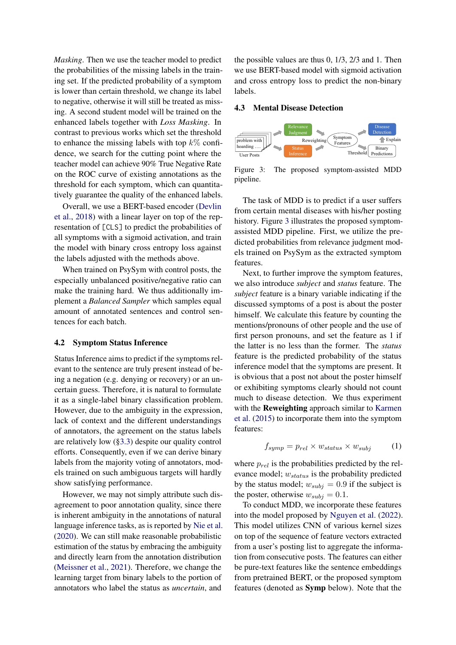*Masking*. Then we use the teacher model to predict the probabilities of the missing labels in the training set. If the predicted probability of a symptom is lower than certain threshold, we change its label to negative, otherwise it will still be treated as missing. A second student model will be trained on the enhanced labels together with *Loss Masking*. In contrast to previous works which set the threshold to enhance the missing labels with top  $k\%$  confidence, we search for the cutting point where the teacher model can achieve 90% True Negative Rate on the ROC curve of existing annotations as the threshold for each symptom, which can quantitatively guarantee the quality of the enhanced labels.

Overall, we use a BERT-based encoder [\(Devlin](#page-9-5) [et al.,](#page-9-5) [2018\)](#page-9-5) with a linear layer on top of the representation of [CLS] to predict the probabilities of all symptoms with a sigmoid activation, and train the model with binary cross entropy loss against the labels adjusted with the methods above.

When trained on PsySym with control posts, the especially unbalanced positive/negative ratio can make the training hard. We thus additionally implement a *Balanced Sampler* which samples equal amount of annotated sentences and control sentences for each batch.

#### <span id="page-5-0"></span>4.2 Symptom Status Inference

Status Inference aims to predict if the symptoms relevant to the sentence are truly present instead of being a negation (e.g. denying or recovery) or an uncertain guess. Therefore, it is natural to formulate it as a single-label binary classification problem. However, due to the ambiguity in the expression, lack of context and the different understandings of annotators, the agreement on the status labels are relatively low ([§3.3\)](#page-3-2) despite our quality control efforts. Consequently, even if we can derive binary labels from the majority voting of annotators, models trained on such ambiguous targets will hardly show satisfying performance.

However, we may not simply attribute such disagreement to poor annotation quality, since there is inherent ambiguity in the annotations of natural language inference tasks, as is reported by [Nie et al.](#page-9-15) [\(2020\)](#page-9-15). We can still make reasonable probabilistic estimation of the status by embracing the ambiguity and directly learn from the annotation distribution [\(Meissner et al.,](#page-9-16) [2021\)](#page-9-16). Therefore, we change the learning target from binary labels to the portion of annotators who label the status as *uncertain*, and

the possible values are thus 0, 1/3, 2/3 and 1. Then we use BERT-based model with sigmoid activation and cross entropy loss to predict the non-binary labels.

#### <span id="page-5-2"></span>4.3 Mental Disease Detection

<span id="page-5-1"></span>

Figure 3: The proposed symptom-assisted MDD pipeline.

The task of MDD is to predict if a user suffers from certain mental diseases with his/her posting history. Figure [3](#page-5-1) illustrates the proposed symptomassisted MDD pipeline. First, we utilize the predicted probabilities from relevance judgment models trained on PsySym as the extracted symptom features.

Next, to further improve the symptom features, we also introduce *subject* and *status* feature. The *subject* feature is a binary variable indicating if the discussed symptoms of a post is about the poster himself. We calculate this feature by counting the mentions/pronouns of other people and the use of first person pronouns, and set the feature as 1 if the latter is no less than the former. The *status* feature is the predicted probability of the status inference model that the symptoms are present. It is obvious that a post not about the poster himself or exhibiting symptoms clearly should not count much to disease detection. We thus experiment with the **Reweighting** approach similar to [Karmen](#page-9-10) [et al.](#page-9-10) [\(2015\)](#page-9-10) to incorporate them into the symptom features:

$$
f_{symp} = p_{rel} \times w_{status} \times w_{subj} \tag{1}
$$

where  $p_{rel}$  is the probabilities predicted by the relevance model;  $w_{status}$  is the probability predicted by the status model;  $w_{subj} = 0.9$  if the subject is the poster, otherwise  $w_{subj} = 0.1$ .

To conduct MDD, we incorporate these features into the model proposed by [Nguyen et al.](#page-9-3) [\(2022\)](#page-9-3). This model utilizes CNN of various kernel sizes on top of the sequence of feature vectors extracted from a user's posting list to aggregate the information from consecutive posts. The features can either be pure-text features like the sentence embeddings from pretrained BERT, or the proposed symptom features (denoted as Symp below). Note that the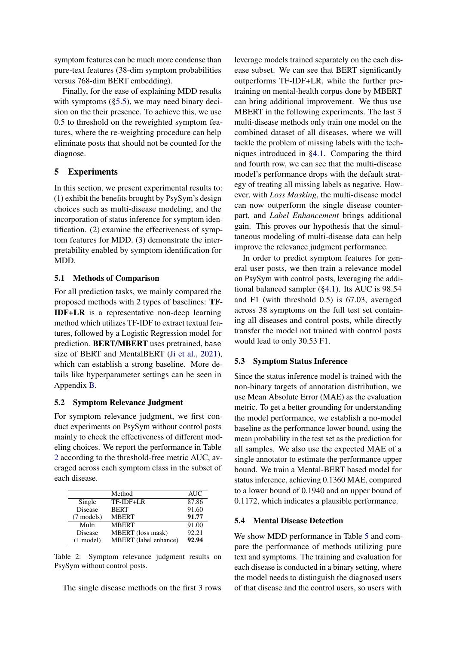symptom features can be much more condense than pure-text features (38-dim symptom probabilities versus 768-dim BERT embedding).

Finally, for the ease of explaining MDD results with symptoms ([§5.5\)](#page-7-0), we may need binary decision on the their presence. To achieve this, we use 0.5 to threshold on the reweighted symptom features, where the re-weighting procedure can help eliminate posts that should not be counted for the diagnose.

## 5 Experiments

In this section, we present experimental results to: (1) exhibit the benefits brought by PsySym's design choices such as multi-disease modeling, and the incorporation of status inference for symptom identification. (2) examine the effectiveness of symptom features for MDD. (3) demonstrate the interpretability enabled by symptom identification for MDD.

## 5.1 Methods of Comparison

For all prediction tasks, we mainly compared the proposed methods with 2 types of baselines: TF-IDF+LR is a representative non-deep learning method which utilizes TF-IDF to extract textual features, followed by a Logistic Regression model for prediction. BERT/MBERT uses pretrained, base size of BERT and MentalBERT [\(Ji et al.,](#page-9-17) [2021\)](#page-9-17), which can establish a strong baseline. More details like hyperparameter settings can be seen in Appendix [B.](#page-12-1)

## 5.2 Symptom Relevance Judgment

For symptom relevance judgment, we first conduct experiments on PsySym without control posts mainly to check the effectiveness of different modeling choices. We report the performance in Table [2](#page-6-0) according to the threshold-free metric AUC, averaged across each symptom class in the subset of each disease.

<span id="page-6-0"></span>

|                     | Method                       | <b>AUC</b> |
|---------------------|------------------------------|------------|
| Single              | TF-IDF+LR                    | 87.86      |
| <b>Disease</b>      | <b>BERT</b>                  | 91.60      |
| (7 models)          | <b>MBERT</b>                 | 91.77      |
| Multi               | <b>MBERT</b>                 | 91.00      |
| Disease             | MBERT (loss mask)            | 92.21      |
| $(1 \text{ model})$ | <b>MBERT</b> (label enhance) | 92.94      |

Table 2: Symptom relevance judgment results on PsySym without control posts.

The single disease methods on the first 3 rows

leverage models trained separately on the each disease subset. We can see that BERT significantly outperforms TF-IDF+LR, while the further pretraining on mental-health corpus done by MBERT can bring additional improvement. We thus use MBERT in the following experiments. The last 3 multi-disease methods only train one model on the combined dataset of all diseases, where we will tackle the problem of missing labels with the techniques introduced in [§4.1.](#page-4-0) Comparing the third and fourth row, we can see that the multi-disease model's performance drops with the default strategy of treating all missing labels as negative. However, with *Loss Masking*, the multi-disease model can now outperform the single disease counterpart, and *Label Enhancement* brings additional gain. This proves our hypothesis that the simultaneous modeling of multi-disease data can help improve the relevance judgment performance.

In order to predict symptom features for general user posts, we then train a relevance model on PsySym with control posts, leveraging the additional balanced sampler ([§4.1\)](#page-4-0). Its AUC is 98.54 and F1 (with threshold 0.5) is 67.03, averaged across 38 symptoms on the full test set containing all diseases and control posts, while directly transfer the model not trained with control posts would lead to only 30.53 F1.

#### 5.3 Symptom Status Inference

Since the status inference model is trained with the non-binary targets of annotation distribution, we use Mean Absolute Error (MAE) as the evaluation metric. To get a better grounding for understanding the model performance, we establish a no-model baseline as the performance lower bound, using the mean probability in the test set as the prediction for all samples. We also use the expected MAE of a single annotator to estimate the performance upper bound. We train a Mental-BERT based model for status inference, achieving 0.1360 MAE, compared to a lower bound of 0.1940 and an upper bound of 0.1172, which indicates a plausible performance.

#### 5.4 Mental Disease Detection

We show MDD performance in Table [5](#page-7-1) and compare the performance of methods utilizing pure text and symptoms. The training and evaluation for each disease is conducted in a binary setting, where the model needs to distinguish the diagnosed users of that disease and the control users, so users with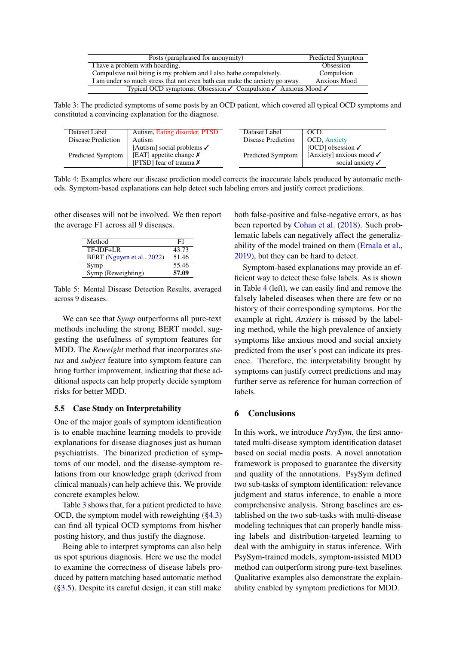<span id="page-7-2"></span>

| Posts (paraphrased for anonymity)                                                              | Predicted Symptom   |  |
|------------------------------------------------------------------------------------------------|---------------------|--|
| I have a problem with hoarding.                                                                | Obsession           |  |
| Compulsive nail biting is my problem and I also bathe compulsively.                            | Compulsion          |  |
| I am under so much stress that not even bath can make the anxiety go away.                     | <b>Anxious Mood</b> |  |
| Typical OCD symptoms: Obsession $\checkmark$ Compulsion $\checkmark$ Anxious Mood $\checkmark$ |                     |  |

Table 3: The predicted symptoms of some posts by an OCD patient, which covered all typical OCD symptoms and constituted a convincing explanation for the diagnose.

<span id="page-7-3"></span>

| Dataset Label      | Autism, Eating disorder, PTSD                                | Dataset Label      | OCD                                                     |
|--------------------|--------------------------------------------------------------|--------------------|---------------------------------------------------------|
| Disease Prediction | Autism                                                       | Disease Prediction | <b>OCD, Anxiety</b>                                     |
|                    | [Autism] social problems $\checkmark$                        |                    | [OCD] obsession $\checkmark$                            |
| Predicted Symptom  | [EAT] appetite change $\chi$<br>[PTSD] fear of trauma $\chi$ | Predicted Symptom  | [Anxiety] anxious mood $\checkmark$<br>social anxiety √ |

Table 4: Examples where our disease prediction model corrects the inaccurate labels produced by automatic methods. Symptom-based explanations can help detect such labeling errors and justify correct predictions.

<span id="page-7-1"></span>other diseases will not be involved. We then report the average F1 across all 9 diseases.

| Method                     | F1    |
|----------------------------|-------|
| TF-IDF+LR                  | 43.73 |
| BERT (Nguyen et al., 2022) | 51.46 |
| Symp                       | 55.46 |
| Symp (Reweighting)         | 57.09 |

Table 5: Mental Disease Detection Results, averaged across 9 diseases.

We can see that *Symp* outperforms all pure-text methods including the strong BERT model, suggesting the usefulness of symptom features for MDD. The *Reweight* method that incorporates *status* and *subject* feature into symptom feature can bring further improvement, indicating that these additional aspects can help properly decide symptom risks for better MDD.

## <span id="page-7-0"></span>5.5 Case Study on Interpretability

One of the major goals of symptom identification is to enable machine learning models to provide explanations for disease diagnoses just as human psychiatrists. The binarized prediction of symptoms of our model, and the disease-symptom relations from our knowledge graph (derived from clinical manuals) can help achieve this. We provide concrete examples below.

Table [3](#page-7-2) shows that, for a patient predicted to have OCD, the symptom model with reweighting ([§4.3\)](#page-5-2) can find all typical OCD symptoms from his/her posting history, and thus justify the diagnose.

Being able to interpret symptoms can also help us spot spurious diagnosis. Here we use the model to examine the correctness of disease labels produced by pattern matching based automatic method ([§3.5\)](#page-4-1). Despite its careful design, it can still make

both false-positive and false-negative errors, as has been reported by [Cohan et al.](#page-8-1) [\(2018\)](#page-8-1). Such problematic labels can negatively affect the generalizability of the model trained on them [\(Ernala et al.,](#page-9-18) [2019\)](#page-9-18), but they can be hard to detect.

Symptom-based explanations may provide an efficient way to detect these false labels. As is shown in Table [4](#page-7-3) (left), we can easily find and remove the falsely labeled diseases when there are few or no history of their corresponding symptoms. For the example at right, *Anxiety* is missed by the labeling method, while the high prevalence of anxiety symptoms like anxious mood and social anxiety predicted from the user's post can indicate its presence. Therefore, the interpretability brought by symptoms can justify correct predictions and may further serve as reference for human correction of labels.

## 6 Conclusions

In this work, we introduce *PsySym*, the first annotated multi-disease symptom identification dataset based on social media posts. A novel annotation framework is proposed to guarantee the diversity and quality of the annotations. PsySym defined two sub-tasks of symptom identification: relevance judgment and status inference, to enable a more comprehensive analysis. Strong baselines are established on the two sub-tasks with multi-disease modeling techniques that can properly handle missing labels and distribution-targeted learning to deal with the ambiguity in status inference. With PsySym-trained models, symptom-assisted MDD method can outperform strong pure-text baselines. Qualitative examples also demonstrate the explainability enabled by symptom predictions for MDD.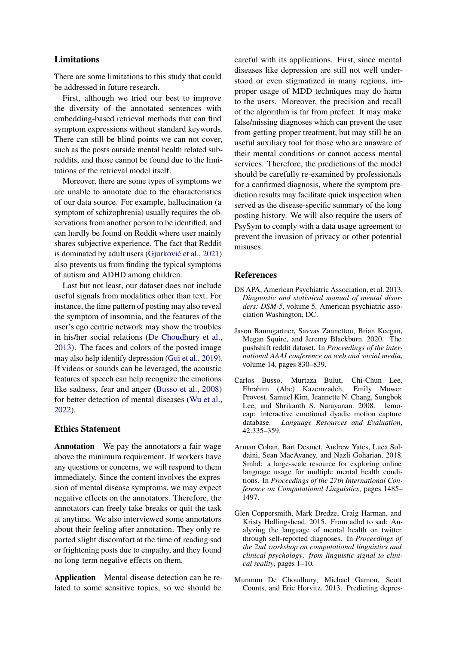## Limitations

There are some limitations to this study that could be addressed in future research.

First, although we tried our best to improve the diversity of the annotated sentences with embedding-based retrieval methods that can find symptom expressions without standard keywords. There can still be blind points we can not cover, such as the posts outside mental health related subreddits, and those cannot be found due to the limitations of the retrieval model itself.

Moreover, there are some types of symptoms we are unable to annotate due to the characteristics of our data source. For example, hallucination (a symptom of schizophrenia) usually requires the observations from another person to be identified, and can hardly be found on Reddit where user mainly shares subjective experience. The fact that Reddit is dominated by adult users (Gjurković et al., [2021\)](#page-9-19) also prevents us from finding the typical symptoms of autism and ADHD among children.

Last but not least, our dataset does not include useful signals from modalities other than text. For instance, the time pattern of posting may also reveal the symptom of insomnia, and the features of the user's ego centric network may show the troubles in his/her social relations [\(De Choudhury et al.,](#page-8-3) [2013\)](#page-8-3). The faces and colors of the posted image may also help identify depression [\(Gui et al.,](#page-9-9) [2019\)](#page-9-9). If videos or sounds can be leveraged, the acoustic features of speech can help recognize the emotions like sadness, fear and anger [\(Busso et al.,](#page-8-5) [2008\)](#page-8-5) for better detection of mental diseases [\(Wu et al.,](#page-10-7) [2022\)](#page-10-7).

### Ethics Statement

Annotation We pay the annotators a fair wage above the minimum requirement. If workers have any questions or concerns, we will respond to them immediately. Since the content involves the expression of mental disease symptoms, we may expect negative effects on the annotators. Therefore, the annotators can freely take breaks or quit the task at anytime. We also interviewed some annotators about their feeling after annotation. They only reported slight discomfort at the time of reading sad or frightening posts due to empathy, and they found no long-term negative effects on them.

Application Mental disease detection can be related to some sensitive topics, so we should be

careful with its applications. First, since mental diseases like depression are still not well understood or even stigmatized in many regions, improper usage of MDD techniques may do harm to the users. Moreover, the precision and recall of the algorithm is far from prefect. It may make false/missing diagnoses which can prevent the user from getting proper treatment, but may still be an useful auxiliary tool for those who are unaware of their mental conditions or cannot access mental services. Therefore, the predictions of the model should be carefully re-examined by professionals for a confirmed diagnosis, where the symptom prediction results may facilitate quick inspection when served as the disease-specific summary of the long posting history. We will also require the users of PsySym to comply with a data usage agreement to prevent the invasion of privacy or other potential misuses.

## References

- <span id="page-8-2"></span>DS APA, American Psychiatric Association, et al. 2013. *Diagnostic and statistical manual of mental disorders: DSM-5*, volume 5. American psychiatric association Washington, DC.
- <span id="page-8-4"></span>Jason Baumgartner, Savvas Zannettou, Brian Keegan, Megan Squire, and Jeremy Blackburn. 2020. The pushshift reddit dataset. In *Proceedings of the international AAAI conference on web and social media*, volume 14, pages 830–839.
- <span id="page-8-5"></span>Carlos Busso, Murtaza Bulut, Chi-Chun Lee,<br>Ebrahim (Abe) Kazemzadeh, Emily Mower Ebrahim (Abe) Kazemzadeh, Provost, Samuel Kim, Jeannette N. Chang, Sungbok Lee, and Shrikanth S. Narayanan. 2008. Iemocap: interactive emotional dyadic motion capture database. *Language Resources and Evaluation*, 42:335–359.
- <span id="page-8-1"></span>Arman Cohan, Bart Desmet, Andrew Yates, Luca Soldaini, Sean MacAvaney, and Nazli Goharian. 2018. Smhd: a large-scale resource for exploring online language usage for multiple mental health conditions. In *Proceedings of the 27th International Conference on Computational Linguistics*, pages 1485– 1497.
- <span id="page-8-0"></span>Glen Coppersmith, Mark Dredze, Craig Harman, and Kristy Hollingshead. 2015. From adhd to sad: Analyzing the language of mental health on twitter through self-reported diagnoses. In *Proceedings of the 2nd workshop on computational linguistics and clinical psychology: from linguistic signal to clinical reality*, pages 1–10.
- <span id="page-8-3"></span>Munmun De Choudhury, Michael Gamon, Scott Counts, and Eric Horvitz. 2013. Predicting depres-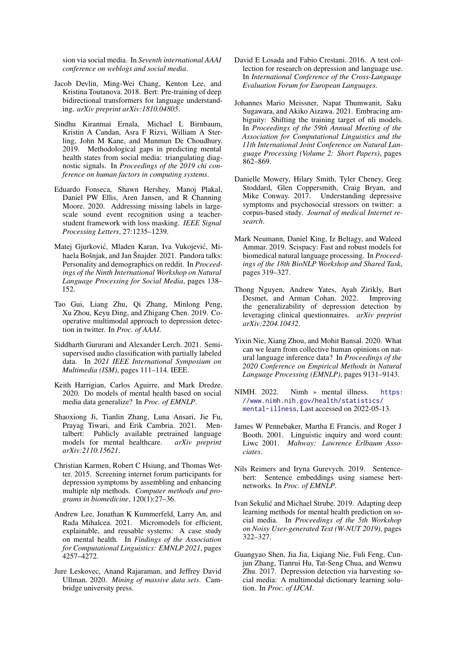sion via social media. In *Seventh international AAAI conference on weblogs and social media*.

- <span id="page-9-5"></span>Jacob Devlin, Ming-Wei Chang, Kenton Lee, and Kristina Toutanova. 2018. Bert: Pre-training of deep bidirectional transformers for language understanding. *arXiv preprint arXiv:1810.04805*.
- <span id="page-9-18"></span>Sindhu Kiranmai Ernala, Michael L Birnbaum, Kristin A Candan, Asra F Rizvi, William A Sterling, John M Kane, and Munmun De Choudhury. 2019. Methodological gaps in predicting mental health states from social media: triangulating diagnostic signals. In *Proceedings of the 2019 chi conference on human factors in computing systems*.
- <span id="page-9-13"></span>Eduardo Fonseca, Shawn Hershey, Manoj Plakal, Daniel PW Ellis, Aren Jansen, and R Channing Moore. 2020. Addressing missing labels in largescale sound event recognition using a teacherstudent framework with loss masking. *IEEE Signal Processing Letters*, 27:1235–1239.
- <span id="page-9-19"></span>Matej Gjurković, Mladen Karan, Iva Vukojević, Mihaela Bošnjak, and Jan Šnajder. 2021. Pandora talks: Personality and demographics on reddit. In *Proceedings of the Ninth International Workshop on Natural Language Processing for Social Media*, pages 138– 152.
- <span id="page-9-9"></span>Tao Gui, Liang Zhu, Qi Zhang, Minlong Peng, Xu Zhou, Keyu Ding, and Zhigang Chen. 2019. Cooperative multimodal approach to depression detection in twitter. In *Proc. of AAAI*.
- <span id="page-9-14"></span>Siddharth Gururani and Alexander Lerch. 2021. Semisupervised audio classification with partially labeled data. In *2021 IEEE International Symposium on Multimedia (ISM)*, pages 111–114. IEEE.
- <span id="page-9-1"></span>Keith Harrigian, Carlos Aguirre, and Mark Dredze. 2020. Do models of mental health based on social media data generalize? In *Proc. of EMNLP*.
- <span id="page-9-17"></span>Shaoxiong Ji, Tianlin Zhang, Luna Ansari, Jie Fu, Prayag Tiwari, and Erik Cambria. 2021. Mentalbert: Publicly available pretrained language models for mental healthcare. *arXiv preprint arXiv:2110.15621*.
- <span id="page-9-10"></span>Christian Karmen, Robert C Hsiung, and Thomas Wetter. 2015. Screening internet forum participants for depression symptoms by assembling and enhancing multiple nlp methods. *Computer methods and programs in biomedicine*, 120(1):27–36.
- <span id="page-9-2"></span>Andrew Lee, Jonathan K Kummerfeld, Larry An, and Rada Mihalcea. 2021. Micromodels for efficient, explainable, and reusable systems: A case study on mental health. In *Findings of the Association for Computational Linguistics: EMNLP 2021*, pages 4257–4272.
- <span id="page-9-20"></span>Jure Leskovec, Anand Rajaraman, and Jeffrey David Ullman. 2020. *Mining of massive data sets*. Cambridge university press.
- <span id="page-9-12"></span>David E Losada and Fabio Crestani. 2016. A test collection for research on depression and language use. In *International Conference of the Cross-Language Evaluation Forum for European Languages*.
- <span id="page-9-16"></span>Johannes Mario Meissner, Napat Thumwanit, Saku Sugawara, and Akiko Aizawa. 2021. Embracing ambiguity: Shifting the training target of nli models. In *Proceedings of the 59th Annual Meeting of the Association for Computational Linguistics and the 11th International Joint Conference on Natural Language Processing (Volume 2: Short Papers)*, pages 862–869.
- <span id="page-9-11"></span>Danielle Mowery, Hilary Smith, Tyler Cheney, Greg Stoddard, Glen Coppersmith, Craig Bryan, and Mike Conway. 2017. Understanding depressive symptoms and psychosocial stressors on twitter: a corpus-based study. *Journal of medical Internet research*.
- <span id="page-9-21"></span>Mark Neumann, Daniel King, Iz Beltagy, and Waleed Ammar. 2019. Scispacy: Fast and robust models for biomedical natural language processing. In *Proceedings of the 18th BioNLP Workshop and Shared Task*, pages 319–327.
- <span id="page-9-3"></span>Thong Nguyen, Andrew Yates, Ayah Zirikly, Bart Desmet, and Arman Cohan. 2022. Improving the generalizability of depression detection by leveraging clinical questionnaires. *arXiv preprint arXiv:2204.10432*.
- <span id="page-9-15"></span>Yixin Nie, Xiang Zhou, and Mohit Bansal. 2020. What can we learn from collective human opinions on natural language inference data? In *Proceedings of the 2020 Conference on Empirical Methods in Natural Language Processing (EMNLP)*, pages 9131–9143.
- <span id="page-9-0"></span>NIMH. 2022. Nimh » mental illness. [https:](https://www.nimh.nih.gov/health/statistics/mental-illness) [//www.nimh.nih.gov/health/statistics/](https://www.nimh.nih.gov/health/statistics/mental-illness) [mental-illness](https://www.nimh.nih.gov/health/statistics/mental-illness), Last accessed on 2022-05-13.
- <span id="page-9-6"></span>James W Pennebaker, Martha E Francis, and Roger J Booth. 2001. Linguistic inquiry and word count: Liwc 2001. *Mahway: Lawrence Erlbaum Associates*.
- <span id="page-9-4"></span>Nils Reimers and Iryna Gurevych. 2019. Sentencebert: Sentence embeddings using siamese bertnetworks. In *Proc. of EMNLP*.
- <span id="page-9-8"></span>Ivan Sekulic and Michael Strube. 2019. Adapting deep ´ learning methods for mental health prediction on social media. In *Proceedings of the 5th Workshop on Noisy User-generated Text (W-NUT 2019)*, pages 322–327.
- <span id="page-9-7"></span>Guangyao Shen, Jia Jia, Liqiang Nie, Fuli Feng, Cunjun Zhang, Tianrui Hu, Tat-Seng Chua, and Wenwu Zhu. 2017. Depression detection via harvesting social media: A multimodal dictionary learning solution. In *Proc. of IJCAI*.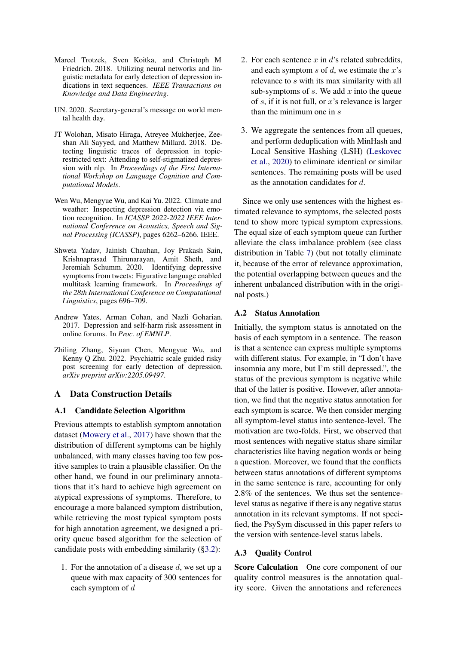- <span id="page-10-3"></span>Marcel Trotzek, Sven Koitka, and Christoph M Friedrich. 2018. Utilizing neural networks and linguistic metadata for early detection of depression indications in text sequences. *IEEE Transactions on Knowledge and Data Engineering*.
- <span id="page-10-0"></span>UN. 2020. Secretary-general's message on world mental health day.
- <span id="page-10-5"></span>JT Wolohan, Misato Hiraga, Atreyee Mukherjee, Zeeshan Ali Sayyed, and Matthew Millard. 2018. Detecting linguistic traces of depression in topicrestricted text: Attending to self-stigmatized depression with nlp. In *Proceedings of the First International Workshop on Language Cognition and Computational Models*.
- <span id="page-10-7"></span>Wen Wu, Mengyue Wu, and Kai Yu. 2022. Climate and weather: Inspecting depression detection via emotion recognition. In *ICASSP 2022-2022 IEEE International Conference on Acoustics, Speech and Signal Processing (ICASSP)*, pages 6262–6266. IEEE.
- <span id="page-10-2"></span>Shweta Yadav, Jainish Chauhan, Joy Prakash Sain, Krishnaprasad Thirunarayan, Amit Sheth, and Jeremiah Schumm. 2020. Identifying depressive symptoms from tweets: Figurative language enabled multitask learning framework. In *Proceedings of the 28th International Conference on Computational Linguistics*, pages 696–709.
- <span id="page-10-4"></span>Andrew Yates, Arman Cohan, and Nazli Goharian. 2017. Depression and self-harm risk assessment in online forums. In *Proc. of EMNLP*.
- <span id="page-10-1"></span>Zhiling Zhang, Siyuan Chen, Mengyue Wu, and Kenny Q Zhu. 2022. Psychiatric scale guided risky post screening for early detection of depression. *arXiv preprint arXiv:2205.09497*.

## A Data Construction Details

## <span id="page-10-6"></span>A.1 Candidate Selection Algorithm

Previous attempts to establish symptom annotation dataset [\(Mowery et al.,](#page-9-11) [2017\)](#page-9-11) have shown that the distribution of different symptoms can be highly unbalanced, with many classes having too few positive samples to train a plausible classifier. On the other hand, we found in our preliminary annotations that it's hard to achieve high agreement on atypical expressions of symptoms. Therefore, to encourage a more balanced symptom distribution, while retrieving the most typical symptom posts for high annotation agreement, we designed a priority queue based algorithm for the selection of candidate posts with embedding similarity ([§3.2\)](#page-2-3):

1. For the annotation of a disease  $d$ , we set up a queue with max capacity of 300 sentences for each symptom of d

- 2. For each sentence  $x$  in  $d$ 's related subreddits, and each symptom  $s$  of  $d$ , we estimate the  $x$ 's relevance to s with its max similarity with all sub-symptoms of  $s$ . We add  $x$  into the queue of s, if it is not full, or  $x$ 's relevance is larger than the minimum one in s
- 3. We aggregate the sentences from all queues, and perform deduplication with MinHash and Local Sensitive Hashing (LSH) [\(Leskovec](#page-9-20) [et al.,](#page-9-20) [2020\)](#page-9-20) to eliminate identical or similar sentences. The remaining posts will be used as the annotation candidates for d.

Since we only use sentences with the highest estimated relevance to symptoms, the selected posts tend to show more typical symptom expressions. The equal size of each symptom queue can further alleviate the class imbalance problem (see class distribution in Table [7\)](#page-12-2) (but not totally eliminate it, because of the error of relevance approximation, the potential overlapping between queues and the inherent unbalanced distribution with in the original posts.)

#### A.2 Status Annotation

Initially, the symptom status is annotated on the basis of each symptom in a sentence. The reason is that a sentence can express multiple symptoms with different status. For example, in "I don't have insomnia any more, but I'm still depressed.", the status of the previous symptom is negative while that of the latter is positive. However, after annotation, we find that the negative status annotation for each symptom is scarce. We then consider merging all symptom-level status into sentence-level. The motivation are two-folds. First, we observed that most sentences with negative status share similar characteristics like having negation words or being a question. Moreover, we found that the conflicts between status annotations of different symptoms in the same sentence is rare, accounting for only 2.8% of the sentences. We thus set the sentencelevel status as negative if there is any negative status annotation in its relevant symptoms. If not specified, the PsySym discussed in this paper refers to the version with sentence-level status labels.

## A.3 Quality Control

Score Calculation One core component of our quality control measures is the annotation quality score. Given the annotations and references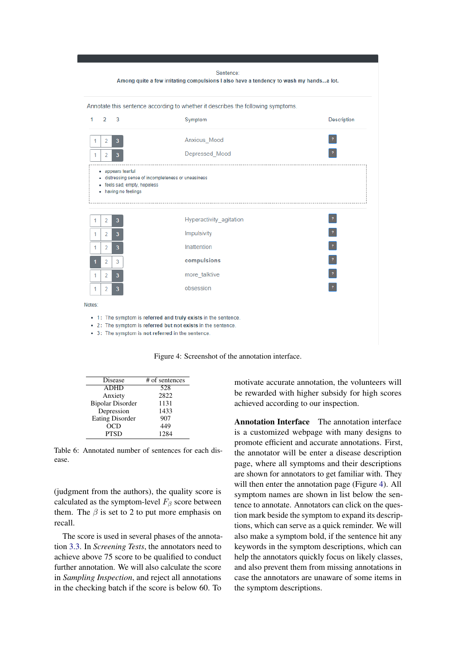<span id="page-11-0"></span>

Figure 4: Screenshot of the annotation interface.

<span id="page-11-1"></span>

| Disease                 | # of sentences |
|-------------------------|----------------|
| <b>ADHD</b>             | 528            |
| Anxiety                 | 2822           |
| <b>Bipolar Disorder</b> | 1131           |
| Depression              | 1433           |
| <b>Eating Disorder</b>  | 907            |
| OCD                     | 449            |
| <b>PTSD</b>             | 1284           |

Table 6: Annotated number of sentences for each disease.

(judgment from the authors), the quality score is calculated as the symptom-level  $F_\beta$  score between them. The  $\beta$  is set to 2 to put more emphasis on recall.

The score is used in several phases of the annotation [3.3.](#page-3-2) In *Screening Tests*, the annotators need to achieve above 75 score to be qualified to conduct further annotation. We will also calculate the score in *Sampling Inspection*, and reject all annotations in the checking batch if the score is below 60. To

motivate accurate annotation, the volunteers will be rewarded with higher subsidy for high scores achieved according to our inspection.

Annotation Interface The annotation interface is a customized webpage with many designs to promote efficient and accurate annotations. First, the annotator will be enter a disease description page, where all symptoms and their descriptions are shown for annotators to get familiar with. They will then enter the annotation page (Figure [4\)](#page-11-0). All symptom names are shown in list below the sentence to annotate. Annotators can click on the question mark beside the symptom to expand its descriptions, which can serve as a quick reminder. We will also make a symptom bold, if the sentence hit any keywords in the symptom descriptions, which can help the annotators quickly focus on likely classes, and also prevent them from missing annotations in case the annotators are unaware of some items in the symptom descriptions.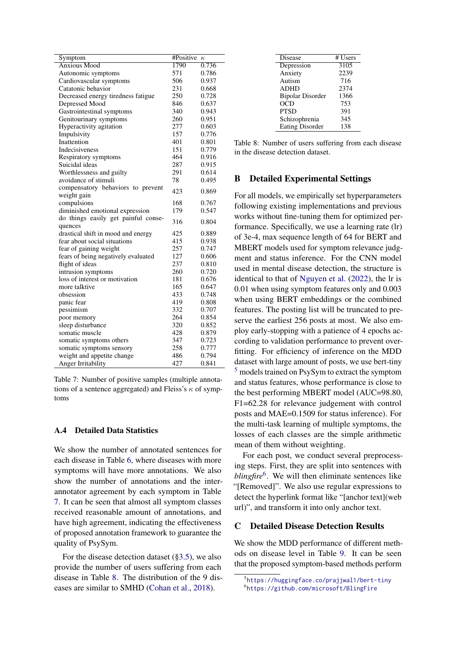<span id="page-12-2"></span>

| Symptom                             | #Positive<br>$\kappa$ |       |
|-------------------------------------|-----------------------|-------|
| <b>Anxious Mood</b>                 | 1790                  | 0.736 |
| Autonomic symptoms                  | 571                   | 0.786 |
| Cardiovascular symptoms             | 506                   | 0.937 |
| Catatonic behavior                  | 231                   | 0.668 |
| Decreased energy tiredness fatigue  | 250                   | 0.728 |
| Depressed Mood                      | 846                   | 0.637 |
| Gastrointestinal symptoms           | 340                   | 0.943 |
| Genitourinary symptoms              | 260                   | 0.951 |
| Hyperactivity agitation             | 277                   | 0.603 |
| Impulsivity                         | 157                   | 0.776 |
| Inattention                         | 401                   | 0.801 |
| Indecisiveness                      | 151                   | 0.779 |
| Respiratory symptoms                | 464                   | 0.916 |
| Suicidal ideas                      | 287                   | 0.915 |
| Worthlessness and guilty            | 291                   | 0.614 |
| avoidance of stimuli                | 78                    | 0.495 |
| compensatory behaviors to prevent   | 423                   | 0.869 |
| weight gain                         |                       |       |
| compulsions                         | 168                   | 0.767 |
| diminished emotional expression     | 179                   | 0.547 |
| do things easily get painful conse- | 316                   | 0.804 |
| quences                             |                       |       |
| drastical shift in mood and energy  | 425                   | 0.889 |
| fear about social situations        | 415                   | 0.938 |
| fear of gaining weight              | 257                   | 0.747 |
| fears of being negatively evaluated | 127                   | 0.606 |
| flight of ideas                     | 237                   | 0.810 |
| intrusion symptoms                  | 260                   | 0.720 |
| loss of interest or motivation      | 181                   | 0.676 |
| more talktive                       | 165                   | 0.647 |
| obsession                           | 433                   | 0.748 |
| panic fear                          | 419                   | 0.808 |
| pessimism                           | 332                   | 0.707 |
| poor memory                         | 264                   | 0.854 |
| sleep disturbance                   | 320                   | 0.852 |
| somatic muscle                      | 428                   | 0.879 |
| somatic symptoms others             | 347                   | 0.723 |
| somatic symptoms sensory            | 258                   | 0.777 |
| weight and appetite change          | 486                   | 0.794 |
| Anger Irritability                  | 427                   | 0.841 |

Table 7: Number of positive samples (multiple annotations of a sentence aggregated) and Fleiss's  $\kappa$  of symptoms

## <span id="page-12-0"></span>A.4 Detailed Data Statistics

We show the number of annotated sentences for each disease in Table [6,](#page-11-1) where diseases with more symptoms will have more annotations. We also show the number of annotations and the interannotator agreement by each symptom in Table [7.](#page-12-2) It can be seen that almost all symptom classes received reasonable amount of annotations, and have high agreement, indicating the effectiveness of proposed annotation framework to guarantee the quality of PsySym.

For the disease detection dataset ([§3.5\)](#page-4-1), we also provide the number of users suffering from each disease in Table [8.](#page-12-3) The distribution of the 9 diseases are similar to SMHD [\(Cohan et al.,](#page-8-1) [2018\)](#page-8-1).

<span id="page-12-3"></span>

| Disease                 | # Users |
|-------------------------|---------|
| Depression              | 3105    |
| Anxiety                 | 2239    |
| Autism                  | 716     |
| <b>ADHD</b>             | 2374    |
| <b>Bipolar Disorder</b> | 1366    |
| OCD                     | 753     |
| <b>PTSD</b>             | 391     |
| Schizophrenia           | 345     |
| <b>Eating Disorder</b>  | 138     |

Table 8: Number of users suffering from each disease in the disease detection dataset.

## <span id="page-12-1"></span>B Detailed Experimental Settings

For all models, we empirically set hyperparameters following existing implementations and previous works without fine-tuning them for optimized performance. Specifically, we use a learning rate (lr) of 3e-4, max sequence length of 64 for BERT and MBERT models used for symptom relevance judgment and status inference. For the CNN model used in mental disease detection, the structure is identical to that of [Nguyen et al.](#page-9-3) [\(2022\)](#page-9-3), the lr is 0.01 when using symptom features only and 0.003 when using BERT embeddings or the combined features. The posting list will be truncated to preserve the earliest 256 posts at most. We also employ early-stopping with a patience of 4 epochs according to validation performance to prevent overfitting. For efficiency of inference on the MDD dataset with large amount of posts, we use bert-tiny [5](#page-12-4) models trained on PsySym to extract the symptom and status features, whose performance is close to the best performing MBERT model (AUC=98.80, F1=62.28 for relevance judgement with control posts and MAE=0.1509 for status inference). For the multi-task learning of multiple symptoms, the losses of each classes are the simple arithmetic mean of them without weighting.

For each post, we conduct several preprocessing steps. First, they are split into sentences with blingfire<sup>[6](#page-12-5)</sup>. We will then eliminate sentences like "[Removed]". We also use regular expressions to detect the hyperlink format like "[anchor text](web url)", and transform it into only anchor text.

### C Detailed Disease Detection Results

We show the MDD performance of different methods on disease level in Table [9.](#page-13-1) It can be seen that the proposed symptom-based methods perform

<span id="page-12-4"></span><sup>5</sup> <https://huggingface.co/prajjwal1/bert-tiny>

<span id="page-12-5"></span><sup>6</sup> <https://github.com/microsoft/BlingFire>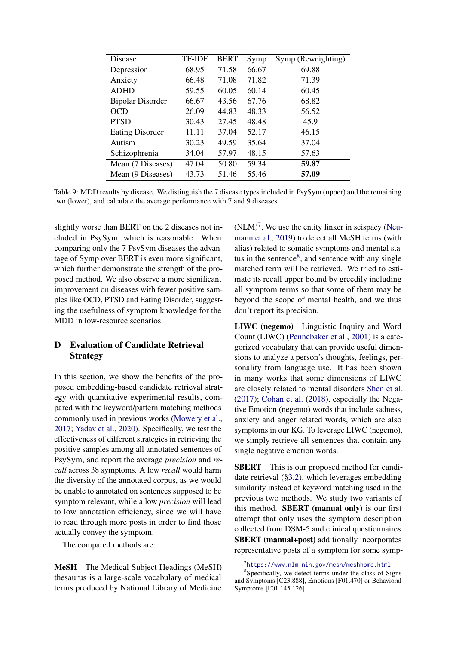<span id="page-13-1"></span>

| Disease                 | TF-IDF | <b>BERT</b> | Symp  | Symp (Reweighting) |
|-------------------------|--------|-------------|-------|--------------------|
| Depression              | 68.95  | 71.58       | 66.67 | 69.88              |
| Anxiety                 | 66.48  | 71.08       | 71.82 | 71.39              |
| <b>ADHD</b>             | 59.55  | 60.05       | 60.14 | 60.45              |
| <b>Bipolar Disorder</b> | 66.67  | 43.56       | 67.76 | 68.82              |
| <b>OCD</b>              | 26.09  | 44.83       | 48.33 | 56.52              |
| <b>PTSD</b>             | 30.43  | 27.45       | 48.48 | 45.9               |
| <b>Eating Disorder</b>  | 11.11  | 37.04       | 52.17 | 46.15              |
| Autism                  | 30.23  | 49.59       | 35.64 | 37.04              |
| Schizophrenia           | 34.04  | 57.97       | 48.15 | 57.63              |
| Mean (7 Diseases)       | 47.04  | 50.80       | 59.34 | 59.87              |
| Mean (9 Diseases)       | 43.73  | 51.46       | 55.46 | 57.09              |

Table 9: MDD results by disease. We distinguish the 7 disease types included in PsySym (upper) and the remaining two (lower), and calculate the average performance with 7 and 9 diseases.

slightly worse than BERT on the 2 diseases not included in PsySym, which is reasonable. When comparing only the 7 PsySym diseases the advantage of Symp over BERT is even more significant, which further demonstrate the strength of the proposed method. We also observe a more significant improvement on diseases with fewer positive samples like OCD, PTSD and Eating Disorder, suggesting the usefulness of symptom knowledge for the MDD in low-resource scenarios.

## <span id="page-13-0"></span>D Evaluation of Candidate Retrieval Strategy

In this section, we show the benefits of the proposed embedding-based candidate retrieval strategy with quantitative experimental results, compared with the keyword/pattern matching methods commonly used in previous works [\(Mowery et al.,](#page-9-11) [2017;](#page-9-11) [Yadav et al.,](#page-10-2) [2020\)](#page-10-2). Specifically, we test the effectiveness of different strategies in retrieving the positive samples among all annotated sentences of PsySym, and report the average *precision* and *recall* across 38 symptoms. A low *recall* would harm the diversity of the annotated corpus, as we would be unable to annotated on sentences supposed to be symptom relevant, while a low *precision* will lead to low annotation efficiency, since we will have to read through more posts in order to find those actually convey the symptom.

The compared methods are:

MeSH The Medical Subject Headings (MeSH) thesaurus is a large-scale vocabulary of medical terms produced by National Library of Medicine

 $(NLM)^7$  $(NLM)^7$ . We use the entity linker in scispacy [\(Neu](#page-9-21)[mann et al.,](#page-9-21) [2019\)](#page-9-21) to detect all MeSH terms (with alias) related to somatic symptoms and mental status in the sentence $8$ , and sentence with any single matched term will be retrieved. We tried to estimate its recall upper bound by greedily including all symptom terms so that some of them may be beyond the scope of mental health, and we thus don't report its precision.

LIWC (negemo) Linguistic Inquiry and Word Count (LIWC) [\(Pennebaker et al.,](#page-9-6) [2001\)](#page-9-6) is a categorized vocabulary that can provide useful dimensions to analyze a person's thoughts, feelings, personality from language use. It has been shown in many works that some dimensions of LIWC are closely related to mental disorders [Shen et al.](#page-9-7) [\(2017\)](#page-9-7); [Cohan et al.](#page-8-1) [\(2018\)](#page-8-1), especially the Negative Emotion (negemo) words that include sadness, anxiety and anger related words, which are also symptoms in our KG. To leverage LIWC (negemo), we simply retrieve all sentences that contain any single negative emotion words.

**SBERT** This is our proposed method for candidate retrieval ([§3.2\)](#page-2-3), which leverages embedding similarity instead of keyword matching used in the previous two methods. We study two variants of this method. SBERT (manual only) is our first attempt that only uses the symptom description collected from DSM-5 and clinical questionnaires. SBERT (manual+post) additionally incorporates representative posts of a symptom for some symp-

<span id="page-13-3"></span><span id="page-13-2"></span><sup>7</sup> <https://www.nlm.nih.gov/mesh/meshhome.html>

<sup>8</sup> Specifically, we detect terms under the class of Signs and Symptoms [C23.888], Emotions [F01.470] or Behavioral Symptoms [F01.145.126]